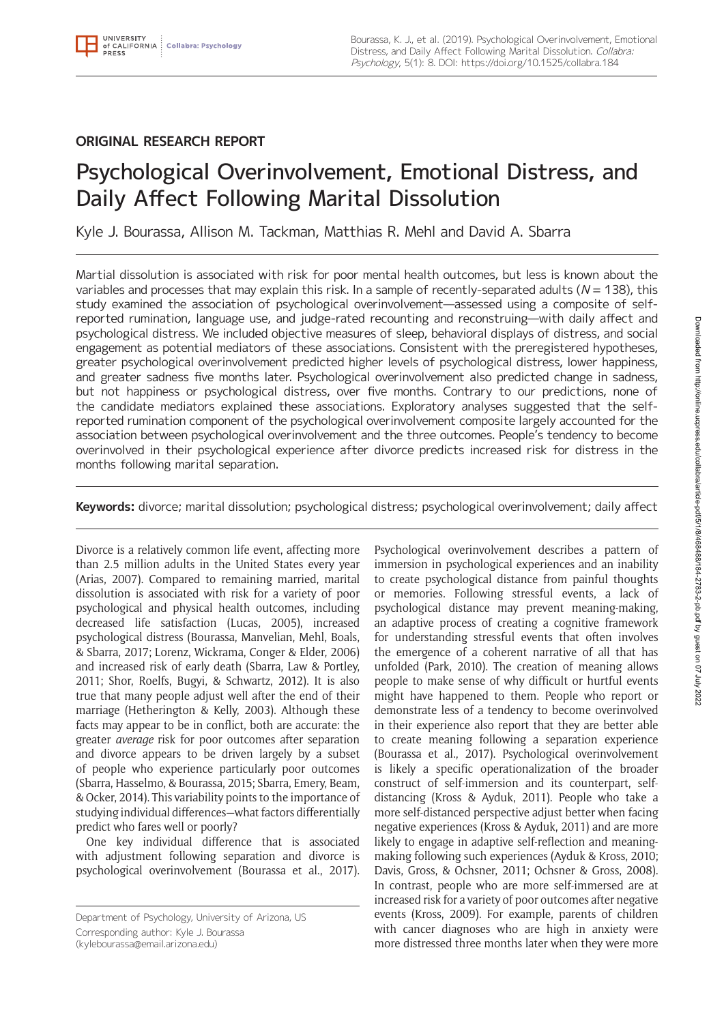# **ORIGINAL RESEARCH REPORT**

# Psychological Overinvolvement, Emotional Distress, and Daily Affect Following Marital Dissolution

Kyle J. Bourassa, Allison M. Tackman, Matthias R. Mehl and David A. Sbarra

Martial dissolution is associated with risk for poor mental health outcomes, but less is known about the variables and processes that may explain this risk. In a sample of recently-separated adults ( $N = 138$ ), this study examined the association of psychological overinvolvement—assessed using a composite of selfreported rumination, language use, and judge-rated recounting and reconstruing—with daily affect and psychological distress. We included objective measures of sleep, behavioral displays of distress, and social engagement as potential mediators of these associations. Consistent with the preregistered hypotheses, greater psychological overinvolvement predicted higher levels of psychological distress, lower happiness, and greater sadness five months later. Psychological overinvolvement also predicted change in sadness, but not happiness or psychological distress, over five months. Contrary to our predictions, none of the candidate mediators explained these associations. Exploratory analyses suggested that the selfreported rumination component of the psychological overinvolvement composite largely accounted for the association between psychological overinvolvement and the three outcomes. People's tendency to become overinvolved in their psychological experience after divorce predicts increased risk for distress in the months following marital separation.

**Keywords:** divorce; marital dissolution; psychological distress; psychological overinvolvement; daily affect

Divorce is a relatively common life event, affecting more than 2.5 million adults in the United States every year (Arias, 2007). Compared to remaining married, marital dissolution is associated with risk for a variety of poor psychological and physical health outcomes, including decreased life satisfaction (Lucas, 2005), increased psychological distress (Bourassa, Manvelian, Mehl, Boals, & Sbarra, 2017; Lorenz, Wickrama, Conger & Elder, 2006) and increased risk of early death (Sbarra, Law & Portley, 2011; Shor, Roelfs, Bugyi, & Schwartz, 2012). It is also true that many people adjust well after the end of their marriage (Hetherington & Kelly, 2003). Although these facts may appear to be in conflict, both are accurate: the greater *average* risk for poor outcomes after separation and divorce appears to be driven largely by a subset of people who experience particularly poor outcomes (Sbarra, Hasselmo, & Bourassa, 2015; Sbarra, Emery, Beam, & Ocker, 2014). This variability points to the importance of studying individual differences—what factors differentially predict who fares well or poorly?

One key individual difference that is associated with adjustment following separation and divorce is psychological overinvolvement (Bourassa et al., 2017).

Corresponding author: Kyle J. Bourassa

[\(kylebourassa@email.arizona.edu\)](mailto:kylebourassa@email.arizona.edu)

Psychological overinvolvement describes a pattern of immersion in psychological experiences and an inability to create psychological distance from painful thoughts or memories. Following stressful events, a lack of psychological distance may prevent meaning-making, an adaptive process of creating a cognitive framework for understanding stressful events that often involves the emergence of a coherent narrative of all that has unfolded (Park, 2010). The creation of meaning allows people to make sense of why difficult or hurtful events might have happened to them. People who report or demonstrate less of a tendency to become overinvolved in their experience also report that they are better able to create meaning following a separation experience (Bourassa et al., 2017). Psychological overinvolvement is likely a specific operationalization of the broader construct of self-immersion and its counterpart, selfdistancing (Kross & Ayduk, 2011). People who take a more self-distanced perspective adjust better when facing negative experiences (Kross & Ayduk, 2011) and are more likely to engage in adaptive self-reflection and meaningmaking following such experiences (Ayduk & Kross, 2010; Davis, Gross, & Ochsner, 2011; Ochsner & Gross, 2008). In contrast, people who are more self-immersed are at increased risk for a variety of poor outcomes after negative events (Kross, 2009). For example, parents of children with cancer diagnoses who are high in anxiety were more distressed three months later when they were more

Department of Psychology, University of Arizona, US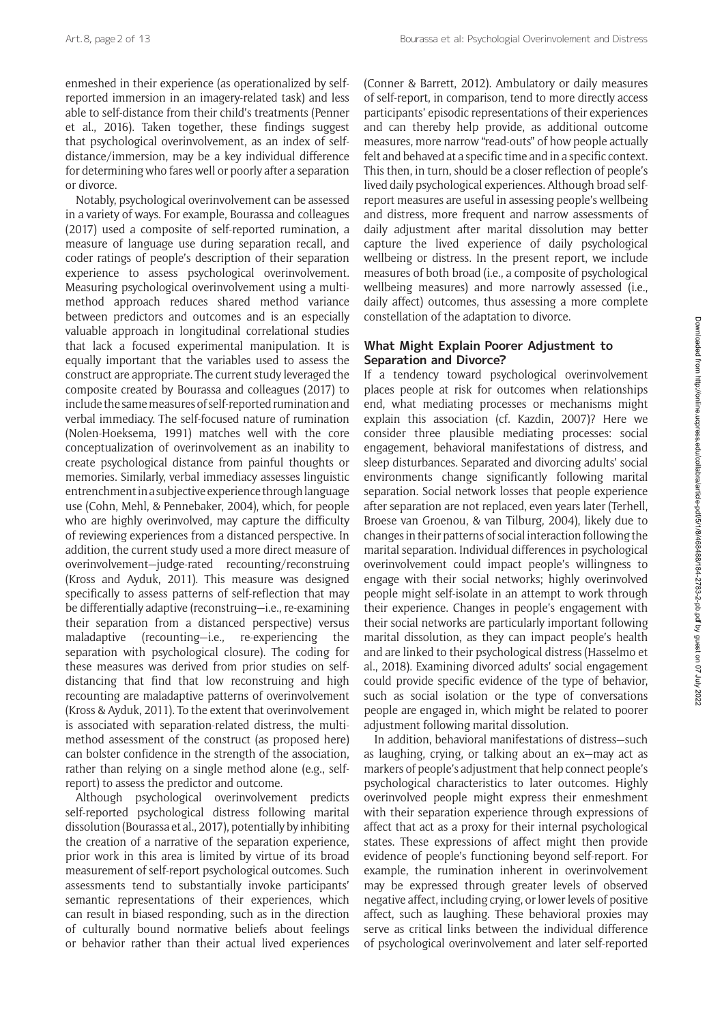enmeshed in their experience (as operationalized by selfreported immersion in an imagery-related task) and less able to self-distance from their child's treatments (Penner et al., 2016). Taken together, these findings suggest that psychological overinvolvement, as an index of selfdistance/immersion, may be a key individual difference for determining who fares well or poorly after a separation or divorce.

Notably, psychological overinvolvement can be assessed in a variety of ways. For example, Bourassa and colleagues (2017) used a composite of self-reported rumination, a measure of language use during separation recall, and coder ratings of people's description of their separation experience to assess psychological overinvolvement. Measuring psychological overinvolvement using a multimethod approach reduces shared method variance between predictors and outcomes and is an especially valuable approach in longitudinal correlational studies that lack a focused experimental manipulation. It is equally important that the variables used to assess the construct are appropriate. The current study leveraged the composite created by Bourassa and colleagues (2017) to include the same measures of self-reported rumination and verbal immediacy. The self-focused nature of rumination (Nolen-Hoeksema, 1991) matches well with the core conceptualization of overinvolvement as an inability to create psychological distance from painful thoughts or memories. Similarly, verbal immediacy assesses linguistic entrenchment in a subjective experience through language use (Cohn, Mehl, & Pennebaker, 2004), which, for people who are highly overinvolved, may capture the difficulty of reviewing experiences from a distanced perspective. In addition, the current study used a more direct measure of overinvolvement—judge-rated recounting/reconstruing (Kross and Ayduk, 2011). This measure was designed specifically to assess patterns of self-reflection that may be differentially adaptive (reconstruing—i.e., re-examining their separation from a distanced perspective) versus maladaptive (recounting—i.e., re-experiencing the separation with psychological closure). The coding for these measures was derived from prior studies on selfdistancing that find that low reconstruing and high recounting are maladaptive patterns of overinvolvement (Kross & Ayduk, 2011). To the extent that overinvolvement is associated with separation-related distress, the multimethod assessment of the construct (as proposed here) can bolster confidence in the strength of the association, rather than relying on a single method alone (e.g., selfreport) to assess the predictor and outcome.

Although psychological overinvolvement predicts self-reported psychological distress following marital dissolution (Bourassa et al., 2017), potentially by inhibiting the creation of a narrative of the separation experience, prior work in this area is limited by virtue of its broad measurement of self-report psychological outcomes. Such assessments tend to substantially invoke participants' semantic representations of their experiences, which can result in biased responding, such as in the direction of culturally bound normative beliefs about feelings or behavior rather than their actual lived experiences

(Conner & Barrett, 2012). Ambulatory or daily measures of self-report, in comparison, tend to more directly access participants' episodic representations of their experiences and can thereby help provide, as additional outcome measures, more narrow "read-outs" of how people actually felt and behaved at a specific time and in a specific context. This then, in turn, should be a closer reflection of people's lived daily psychological experiences. Although broad selfreport measures are useful in assessing people's wellbeing and distress, more frequent and narrow assessments of daily adjustment after marital dissolution may better capture the lived experience of daily psychological wellbeing or distress. In the present report, we include measures of both broad (i.e., a composite of psychological wellbeing measures) and more narrowly assessed (i.e., daily affect) outcomes, thus assessing a more complete constellation of the adaptation to divorce.

# **What Might Explain Poorer Adjustment to Separation and Divorce?**

If a tendency toward psychological overinvolvement places people at risk for outcomes when relationships end, what mediating processes or mechanisms might explain this association (cf. Kazdin, 2007)? Here we consider three plausible mediating processes: social engagement, behavioral manifestations of distress, and sleep disturbances. Separated and divorcing adults' social environments change significantly following marital separation. Social network losses that people experience after separation are not replaced, even years later (Terhell, Broese van Groenou, & van Tilburg, 2004), likely due to changes in their patterns of social interaction following the marital separation. Individual differences in psychological overinvolvement could impact people's willingness to engage with their social networks; highly overinvolved people might self-isolate in an attempt to work through their experience. Changes in people's engagement with their social networks are particularly important following marital dissolution, as they can impact people's health and are linked to their psychological distress (Hasselmo et al., 2018). Examining divorced adults' social engagement could provide specific evidence of the type of behavior, such as social isolation or the type of conversations people are engaged in, which might be related to poorer adjustment following marital dissolution.

In addition, behavioral manifestations of distress—such as laughing, crying, or talking about an ex—may act as markers of people's adjustment that help connect people's psychological characteristics to later outcomes. Highly overinvolved people might express their enmeshment with their separation experience through expressions of affect that act as a proxy for their internal psychological states. These expressions of affect might then provide evidence of people's functioning beyond self-report. For example, the rumination inherent in overinvolvement may be expressed through greater levels of observed negative affect, including crying, or lower levels of positive affect, such as laughing. These behavioral proxies may serve as critical links between the individual difference of psychological overinvolvement and later self-reported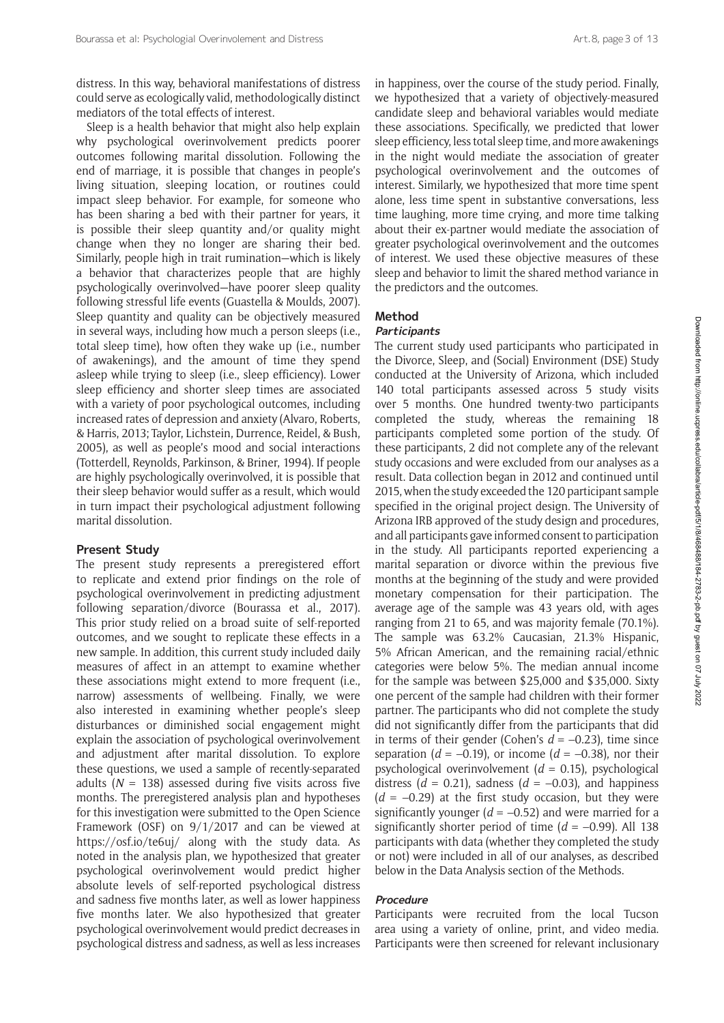distress. In this way, behavioral manifestations of distress could serve as ecologically valid, methodologically distinct mediators of the total effects of interest.

Sleep is a health behavior that might also help explain why psychological overinvolvement predicts poorer outcomes following marital dissolution. Following the end of marriage, it is possible that changes in people's living situation, sleeping location, or routines could impact sleep behavior. For example, for someone who has been sharing a bed with their partner for years, it is possible their sleep quantity and/or quality might change when they no longer are sharing their bed. Similarly, people high in trait rumination—which is likely a behavior that characterizes people that are highly psychologically overinvolved—have poorer sleep quality following stressful life events (Guastella & Moulds, 2007). Sleep quantity and quality can be objectively measured in several ways, including how much a person sleeps (i.e., total sleep time), how often they wake up (i.e., number of awakenings), and the amount of time they spend asleep while trying to sleep (i.e., sleep efficiency). Lower sleep efficiency and shorter sleep times are associated with a variety of poor psychological outcomes, including increased rates of depression and anxiety (Alvaro, Roberts, & Harris, 2013; Taylor, Lichstein, Durrence, Reidel, & Bush, 2005), as well as people's mood and social interactions (Totterdell, Reynolds, Parkinson, & Briner, 1994). If people are highly psychologically overinvolved, it is possible that their sleep behavior would suffer as a result, which would in turn impact their psychological adjustment following marital dissolution.

# **Present Study**

The present study represents a preregistered effort to replicate and extend prior findings on the role of psychological overinvolvement in predicting adjustment following separation/divorce (Bourassa et al., 2017). This prior study relied on a broad suite of self-reported outcomes, and we sought to replicate these effects in a new sample. In addition, this current study included daily measures of affect in an attempt to examine whether these associations might extend to more frequent (i.e., narrow) assessments of wellbeing. Finally, we were also interested in examining whether people's sleep disturbances or diminished social engagement might explain the association of psychological overinvolvement and adjustment after marital dissolution. To explore these questions, we used a sample of recently-separated adults  $(N = 138)$  assessed during five visits across five months. The preregistered analysis plan and hypotheses for this investigation were submitted to the Open Science Framework (OSF) on 9/1/2017 and can be viewed at <https://osf.io/te6uj/> along with the study data. As noted in the analysis plan, we hypothesized that greater psychological overinvolvement would predict higher absolute levels of self-reported psychological distress and sadness five months later, as well as lower happiness five months later. We also hypothesized that greater psychological overinvolvement would predict decreases in psychological distress and sadness, as well as less increases in happiness, over the course of the study period. Finally, we hypothesized that a variety of objectively-measured candidate sleep and behavioral variables would mediate these associations. Specifically, we predicted that lower sleep efficiency, less total sleep time, and more awakenings in the night would mediate the association of greater psychological overinvolvement and the outcomes of interest. Similarly, we hypothesized that more time spent alone, less time spent in substantive conversations, less time laughing, more time crying, and more time talking about their ex-partner would mediate the association of greater psychological overinvolvement and the outcomes of interest. We used these objective measures of these sleep and behavior to limit the shared method variance in the predictors and the outcomes.

# **Method**

### **Participants**

The current study used participants who participated in the Divorce, Sleep, and (Social) Environment (DSE) Study conducted at the University of Arizona, which included 140 total participants assessed across 5 study visits over 5 months. One hundred twenty-two participants completed the study, whereas the remaining 18 participants completed some portion of the study. Of these participants, 2 did not complete any of the relevant study occasions and were excluded from our analyses as a result. Data collection began in 2012 and continued until 2015, when the study exceeded the 120 participant sample specified in the original project design. The University of Arizona IRB approved of the study design and procedures, and all participants gave informed consent to participation in the study. All participants reported experiencing a marital separation or divorce within the previous five months at the beginning of the study and were provided monetary compensation for their participation. The average age of the sample was 43 years old, with ages ranging from 21 to 65, and was majority female (70.1%). The sample was 63.2% Caucasian, 21.3% Hispanic, 5% African American, and the remaining racial/ethnic categories were below 5%. The median annual income for the sample was between \$25,000 and \$35,000. Sixty one percent of the sample had children with their former partner. The participants who did not complete the study did not significantly differ from the participants that did in terms of their gender (Cohen's *d* = –0.23), time since separation ( $d = -0.19$ ), or income ( $d = -0.38$ ), nor their psychological overinvolvement (*d* = 0.15), psychological distress ( $d = 0.21$ ), sadness ( $d = -0.03$ ), and happiness  $(d = -0.29)$  at the first study occasion, but they were significantly younger  $(d = -0.52)$  and were married for a significantly shorter period of time  $(d = -0.99)$ . All 138 participants with data (whether they completed the study or not) were included in all of our analyses, as described below in the Data Analysis section of the Methods.

# **Procedure**

Participants were recruited from the local Tucson area using a variety of online, print, and video media. Participants were then screened for relevant inclusionary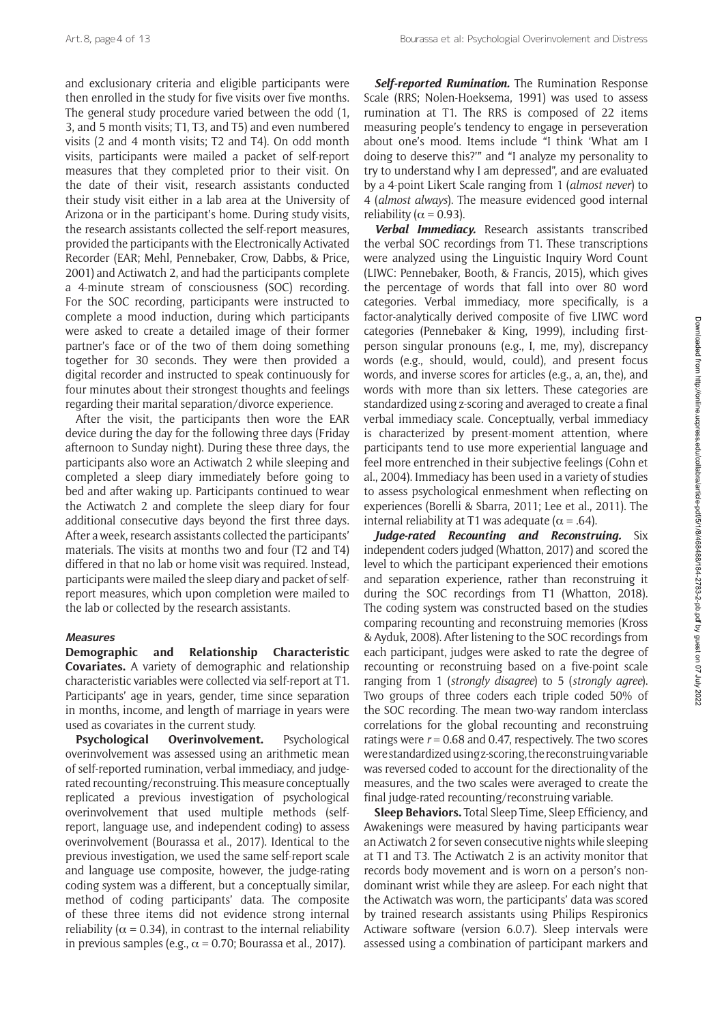and exclusionary criteria and eligible participants were then enrolled in the study for five visits over five months. The general study procedure varied between the odd (1, 3, and 5 month visits; T1, T3, and T5) and even numbered visits (2 and 4 month visits; T2 and T4). On odd month visits, participants were mailed a packet of self-report measures that they completed prior to their visit. On the date of their visit, research assistants conducted their study visit either in a lab area at the University of Arizona or in the participant's home. During study visits, the research assistants collected the self-report measures, provided the participants with the Electronically Activated Recorder (EAR; Mehl, Pennebaker, Crow, Dabbs, & Price, 2001) and Actiwatch 2, and had the participants complete a 4-minute stream of consciousness (SOC) recording. For the SOC recording, participants were instructed to complete a mood induction, during which participants were asked to create a detailed image of their former partner's face or of the two of them doing something together for 30 seconds. They were then provided a digital recorder and instructed to speak continuously for four minutes about their strongest thoughts and feelings regarding their marital separation/divorce experience.

After the visit, the participants then wore the EAR device during the day for the following three days (Friday afternoon to Sunday night). During these three days, the participants also wore an Actiwatch 2 while sleeping and completed a sleep diary immediately before going to bed and after waking up. Participants continued to wear the Actiwatch 2 and complete the sleep diary for four additional consecutive days beyond the first three days. After a week, research assistants collected the participants' materials. The visits at months two and four (T2 and T4) differed in that no lab or home visit was required. Instead, participants were mailed the sleep diary and packet of selfreport measures, which upon completion were mailed to the lab or collected by the research assistants.

# **Measures**

**Demographic and Relationship Characteristic Covariates.** A variety of demographic and relationship characteristic variables were collected via self-report at T1. Participants' age in years, gender, time since separation in months, income, and length of marriage in years were used as covariates in the current study.

**Psychological Overinvolvement.** Psychological overinvolvement was assessed using an arithmetic mean of self-reported rumination, verbal immediacy, and judgerated recounting/reconstruing. This measure conceptually replicated a previous investigation of psychological overinvolvement that used multiple methods (selfreport, language use, and independent coding) to assess overinvolvement (Bourassa et al., 2017). Identical to the previous investigation, we used the same self-report scale and language use composite, however, the judge-rating coding system was a different, but a conceptually similar, method of coding participants' data. The composite of these three items did not evidence strong internal reliability ( $\alpha$  = 0.34), in contrast to the internal reliability in previous samples (e.g.,  $\alpha$  = 0.70; Bourassa et al., 2017).

*Self-reported Rumination.* The Rumination Response Scale (RRS; Nolen-Hoeksema, 1991) was used to assess rumination at T1. The RRS is composed of 22 items measuring people's tendency to engage in perseveration about one's mood. Items include "I think 'What am I doing to deserve this?'" and "I analyze my personality to try to understand why I am depressed", and are evaluated by a 4-point Likert Scale ranging from 1 (*almost never*) to 4 (*almost always*). The measure evidenced good internal reliability ( $\alpha$  = 0.93).

*Verbal Immediacy.* Research assistants transcribed the verbal SOC recordings from T1. These transcriptions were analyzed using the Linguistic Inquiry Word Count (LIWC: Pennebaker, Booth, & Francis, 2015), which gives the percentage of words that fall into over 80 word categories. Verbal immediacy, more specifically, is a factor-analytically derived composite of five LIWC word categories (Pennebaker & King, 1999), including firstperson singular pronouns (e.g., I, me, my), discrepancy words (e.g., should, would, could), and present focus words, and inverse scores for articles (e.g., a, an, the), and words with more than six letters. These categories are standardized using z-scoring and averaged to create a final verbal immediacy scale. Conceptually, verbal immediacy is characterized by present-moment attention, where participants tend to use more experiential language and feel more entrenched in their subjective feelings (Cohn et al., 2004). Immediacy has been used in a variety of studies to assess psychological enmeshment when reflecting on experiences (Borelli & Sbarra, 2011; Lee et al., 2011). The internal reliability at T1 was adequate ( $\alpha$  = .64).

*Judge-rated Recounting and Reconstruing.* Six independent coders judged (Whatton, 2017) and scored the level to which the participant experienced their emotions and separation experience, rather than reconstruing it during the SOC recordings from T1 (Whatton, 2018). The coding system was constructed based on the studies comparing recounting and reconstruing memories (Kross & Ayduk, 2008). After listening to the SOC recordings from each participant, judges were asked to rate the degree of recounting or reconstruing based on a five-point scale ranging from 1 (*strongly disagree*) to 5 (*strongly agree*). Two groups of three coders each triple coded 50% of the SOC recording. The mean two-way random interclass correlations for the global recounting and reconstruing ratings were  $r = 0.68$  and 0.47, respectively. The two scores were standardized using z-scoring, the reconstruing variable was reversed coded to account for the directionality of the measures, and the two scales were averaged to create the final judge-rated recounting/reconstruing variable.

**Sleep Behaviors.** Total Sleep Time, Sleep Efficiency, and Awakenings were measured by having participants wear an Actiwatch 2 for seven consecutive nights while sleeping at T1 and T3. The Actiwatch 2 is an activity monitor that records body movement and is worn on a person's nondominant wrist while they are asleep. For each night that the Actiwatch was worn, the participants' data was scored by trained research assistants using Philips Respironics Actiware software (version 6.0.7). Sleep intervals were assessed using a combination of participant markers and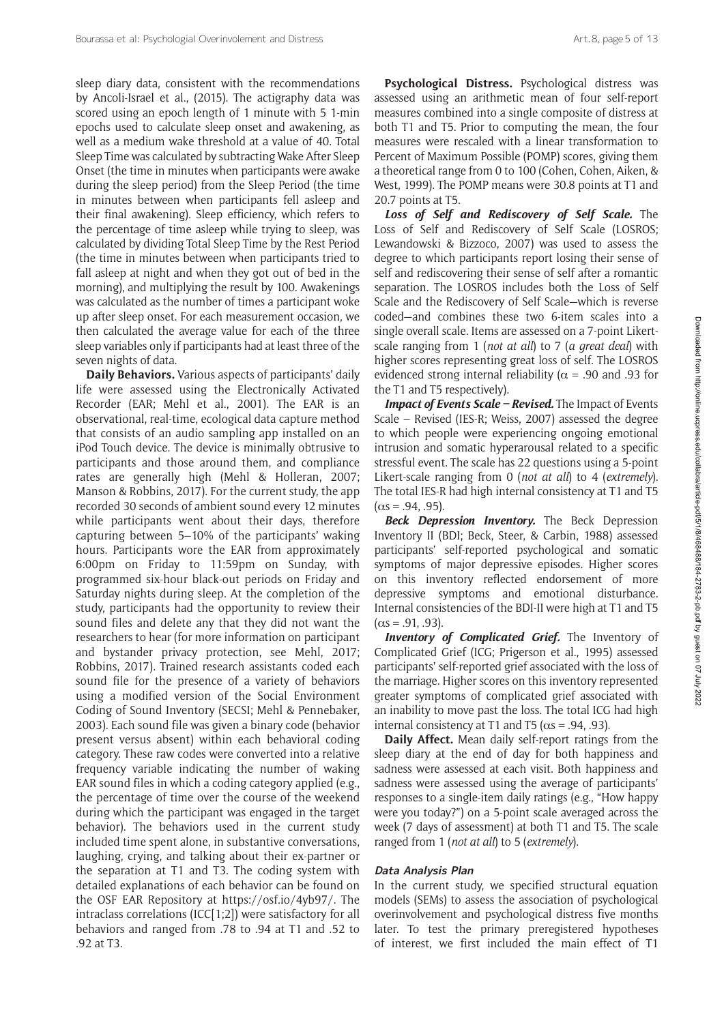sleep diary data, consistent with the recommendations by Ancoli-Israel et al., (2015). The actigraphy data was scored using an epoch length of 1 minute with 5 1-min epochs used to calculate sleep onset and awakening, as well as a medium wake threshold at a value of 40. Total Sleep Time was calculated by subtracting Wake After Sleep Onset (the time in minutes when participants were awake during the sleep period) from the Sleep Period (the time in minutes between when participants fell asleep and their final awakening). Sleep efficiency, which refers to the percentage of time asleep while trying to sleep, was calculated by dividing Total Sleep Time by the Rest Period (the time in minutes between when participants tried to fall asleep at night and when they got out of bed in the morning), and multiplying the result by 100. Awakenings was calculated as the number of times a participant woke up after sleep onset. For each measurement occasion, we then calculated the average value for each of the three sleep variables only if participants had at least three of the seven nights of data.

**Daily Behaviors.** Various aspects of participants' daily life were assessed using the Electronically Activated Recorder (EAR; Mehl et al., 2001). The EAR is an observational, real-time, ecological data capture method that consists of an audio sampling app installed on an iPod Touch device. The device is minimally obtrusive to participants and those around them, and compliance rates are generally high (Mehl & Holleran, 2007; Manson & Robbins, 2017). For the current study, the app recorded 30 seconds of ambient sound every 12 minutes while participants went about their days, therefore capturing between 5–10% of the participants' waking hours. Participants wore the EAR from approximately 6:00pm on Friday to 11:59pm on Sunday, with programmed six-hour black-out periods on Friday and Saturday nights during sleep. At the completion of the study, participants had the opportunity to review their sound files and delete any that they did not want the researchers to hear (for more information on participant and bystander privacy protection, see Mehl, 2017; Robbins, 2017). Trained research assistants coded each sound file for the presence of a variety of behaviors using a modified version of the Social Environment Coding of Sound Inventory (SECSI; Mehl & Pennebaker, 2003). Each sound file was given a binary code (behavior present versus absent) within each behavioral coding category. These raw codes were converted into a relative frequency variable indicating the number of waking EAR sound files in which a coding category applied (e.g., the percentage of time over the course of the weekend during which the participant was engaged in the target behavior). The behaviors used in the current study included time spent alone, in substantive conversations, laughing, crying, and talking about their ex-partner or the separation at T1 and T3. The coding system with detailed explanations of each behavior can be found on the OSF EAR Repository at <https://osf.io/4yb97/>. The intraclass correlations (ICC[1;2]) were satisfactory for all behaviors and ranged from .78 to .94 at T1 and .52 to .92 at T3.

**Psychological Distress.** Psychological distress was assessed using an arithmetic mean of four self-report measures combined into a single composite of distress at both T1 and T5. Prior to computing the mean, the four measures were rescaled with a linear transformation to Percent of Maximum Possible (POMP) scores, giving them a theoretical range from 0 to 100 (Cohen, Cohen, Aiken, & West, 1999). The POMP means were 30.8 points at T1 and 20.7 points at T5.

*Loss of Self and Rediscovery of Self Scale.* The Loss of Self and Rediscovery of Self Scale (LOSROS; Lewandowski & Bizzoco, 2007) was used to assess the degree to which participants report losing their sense of self and rediscovering their sense of self after a romantic separation. The LOSROS includes both the Loss of Self Scale and the Rediscovery of Self Scale—which is reverse coded—and combines these two 6-item scales into a single overall scale. Items are assessed on a 7-point Likertscale ranging from 1 (*not at all*) to 7 (*a great deal*) with higher scores representing great loss of self. The LOSROS evidenced strong internal reliability ( $\alpha$  = .90 and .93 for the T1 and T5 respectively).

*Impact of Events Scale – Revised.* The Impact of Events Scale – Revised (IES-R; Weiss, 2007) assessed the degree to which people were experiencing ongoing emotional intrusion and somatic hyperarousal related to a specific stressful event. The scale has 22 questions using a 5-point Likert-scale ranging from 0 (*not at all*) to 4 (*extremely*). The total IES-R had high internal consistency at T1 and T5  $(\alpha s = .94, .95).$ 

*Beck Depression Inventory.* The Beck Depression Inventory II (BDI; Beck, Steer, & Carbin, 1988) assessed participants' self-reported psychological and somatic symptoms of major depressive episodes. Higher scores on this inventory reflected endorsement of more depressive symptoms and emotional disturbance. Internal consistencies of the BDI-II were high at T1 and T5  $(\alpha s = .91, .93)$ .

*Inventory of Complicated Grief.* The Inventory of Complicated Grief (ICG; Prigerson et al., 1995) assessed participants' self-reported grief associated with the loss of the marriage. Higher scores on this inventory represented greater symptoms of complicated grief associated with an inability to move past the loss. The total ICG had high internal consistency at T1 and T5 ( $\alpha$ s = .94, .93).

**Daily Affect.** Mean daily self-report ratings from the sleep diary at the end of day for both happiness and sadness were assessed at each visit. Both happiness and sadness were assessed using the average of participants' responses to a single-item daily ratings (e.g., "How happy were you today?") on a 5-point scale averaged across the week (7 days of assessment) at both T1 and T5. The scale ranged from 1 (*not at all*) to 5 (*extremely*).

# **Data Analysis Plan**

In the current study, we specified structural equation models (SEMs) to assess the association of psychological overinvolvement and psychological distress five months later. To test the primary preregistered hypotheses of interest, we first included the main effect of T1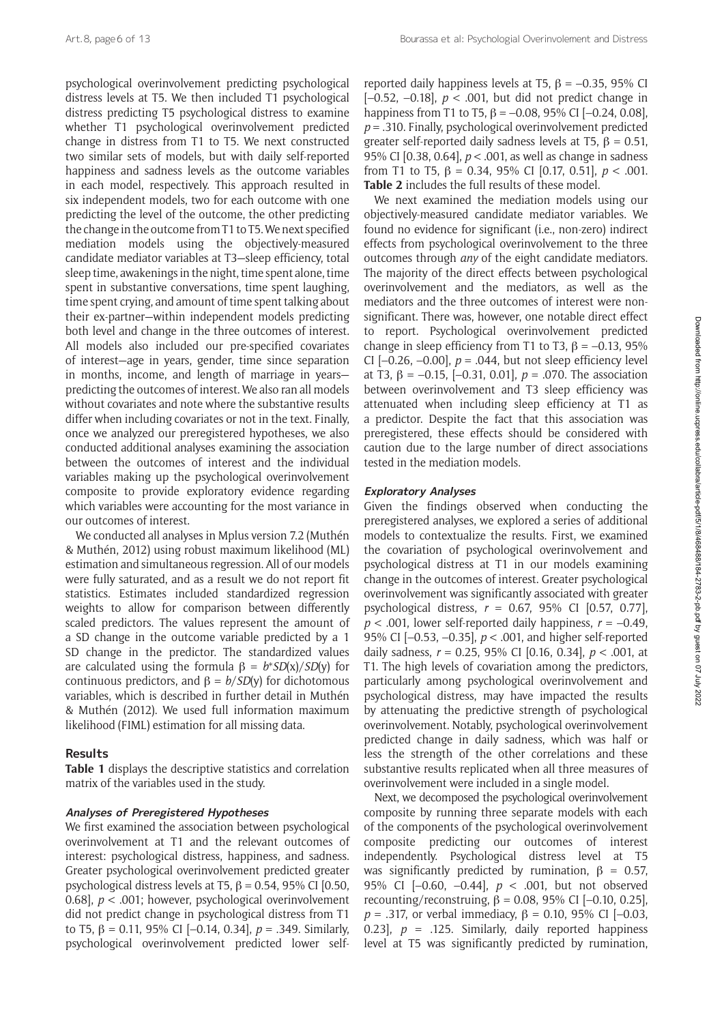psychological overinvolvement predicting psychological distress levels at T5. We then included T1 psychological distress predicting T5 psychological distress to examine whether T1 psychological overinvolvement predicted change in distress from T1 to T5. We next constructed two similar sets of models, but with daily self-reported happiness and sadness levels as the outcome variables in each model, respectively. This approach resulted in six independent models, two for each outcome with one predicting the level of the outcome, the other predicting the change in the outcome from T1 to T5. We next specified mediation models using the objectively-measured candidate mediator variables at T3—sleep efficiency, total sleep time, awakenings in the night, time spent alone, time spent in substantive conversations, time spent laughing, time spent crying, and amount of time spent talking about their ex-partner—within independent models predicting both level and change in the three outcomes of interest. All models also included our pre-specified covariates of interest—age in years, gender, time since separation in months, income, and length of marriage in years predicting the outcomes of interest. We also ran all models without covariates and note where the substantive results differ when including covariates or not in the text. Finally, once we analyzed our preregistered hypotheses, we also conducted additional analyses examining the association between the outcomes of interest and the individual variables making up the psychological overinvolvement composite to provide exploratory evidence regarding which variables were accounting for the most variance in our outcomes of interest.

We conducted all analyses in Mplus version 7.2 (Muthén & Muthén, 2012) using robust maximum likelihood (ML) estimation and simultaneous regression. All of our models were fully saturated, and as a result we do not report fit statistics. Estimates included standardized regression weights to allow for comparison between differently scaled predictors. The values represent the amount of a SD change in the outcome variable predicted by a 1 SD change in the predictor. The standardized values are calculated using the formula β = *b*\**SD*(x)/*SD*(y) for continuous predictors, and β = *b*/*SD*(y) for dichotomous variables, which is described in further detail in Muthén & Muthén (2012). We used full information maximum likelihood (FIML) estimation for all missing data.

# **Results**

**Table 1** displays the descriptive statistics and correlation matrix of the variables used in the study.

# **Analyses of Preregistered Hypotheses**

We first examined the association between psychological overinvolvement at T1 and the relevant outcomes of interest: psychological distress, happiness, and sadness. Greater psychological overinvolvement predicted greater psychological distress levels at T5,  $\beta$  = 0.54, 95% CI [0.50, 0.68], *p* < .001; however, psychological overinvolvement did not predict change in psychological distress from T1 to T5, β = 0.11, 95% CI [–0.14, 0.34], *p* = .349. Similarly, psychological overinvolvement predicted lower self-

reported daily happiness levels at T5,  $β = -0.35$ , 95% CI [–0.52, –0.18], *p* < .001, but did not predict change in happiness from T1 to T5,  $\beta$  = -0.08, 95% CI [-0.24, 0.08], *p* = .310. Finally, psychological overinvolvement predicted greater self-reported daily sadness levels at T5,  $\beta = 0.51$ , 95% CI [0.38, 0.64], *p* < .001, as well as change in sadness from T1 to T5, β = 0.34, 95% CI [0.17, 0.51], *p* < .001. **Table 2** includes the full results of these model.

We next examined the mediation models using our objectively-measured candidate mediator variables. We found no evidence for significant (i.e., non-zero) indirect effects from psychological overinvolvement to the three outcomes through *any* of the eight candidate mediators. The majority of the direct effects between psychological overinvolvement and the mediators, as well as the mediators and the three outcomes of interest were nonsignificant. There was, however, one notable direct effect to report. Psychological overinvolvement predicted change in sleep efficiency from T1 to T3,  $\beta = -0.13$ , 95% CI  $[-0.26, -0.00]$ ,  $p = .044$ , but not sleep efficiency level at T3, β = –0.15, [–0.31, 0.01], *p* = .070. The association between overinvolvement and T3 sleep efficiency was attenuated when including sleep efficiency at T1 as a predictor. Despite the fact that this association was preregistered, these effects should be considered with caution due to the large number of direct associations tested in the mediation models.

#### **Exploratory Analyses**

Given the findings observed when conducting the preregistered analyses, we explored a series of additional models to contextualize the results. First, we examined the covariation of psychological overinvolvement and psychological distress at T1 in our models examining change in the outcomes of interest. Greater psychological overinvolvement was significantly associated with greater psychological distress, *r* = 0.67, 95% CI [0.57, 0.77],  $p < .001$ , lower self-reported daily happiness,  $r = -0.49$ , 95% CI [–0.53, –0.35], *p* < .001, and higher self-reported daily sadness, *r* = 0.25, 95% CI [0.16, 0.34], *p* < .001, at T1. The high levels of covariation among the predictors, particularly among psychological overinvolvement and psychological distress, may have impacted the results by attenuating the predictive strength of psychological overinvolvement. Notably, psychological overinvolvement predicted change in daily sadness, which was half or less the strength of the other correlations and these substantive results replicated when all three measures of overinvolvement were included in a single model.

Next, we decomposed the psychological overinvolvement composite by running three separate models with each of the components of the psychological overinvolvement composite predicting our outcomes of interest independently. Psychological distress level at T5 was significantly predicted by rumination,  $\beta = 0.57$ , 95% CI [–0.60, –0.44], *p* < .001, but not observed recounting/reconstruing,  $\beta = 0.08$ , 95% CI [-0.10, 0.25]. *p* = .317, or verbal immediacy, β = 0.10, 95% CI [–0.03, 0.23],  $p = 0.125$ . Similarly, daily reported happiness level at T5 was significantly predicted by rumination,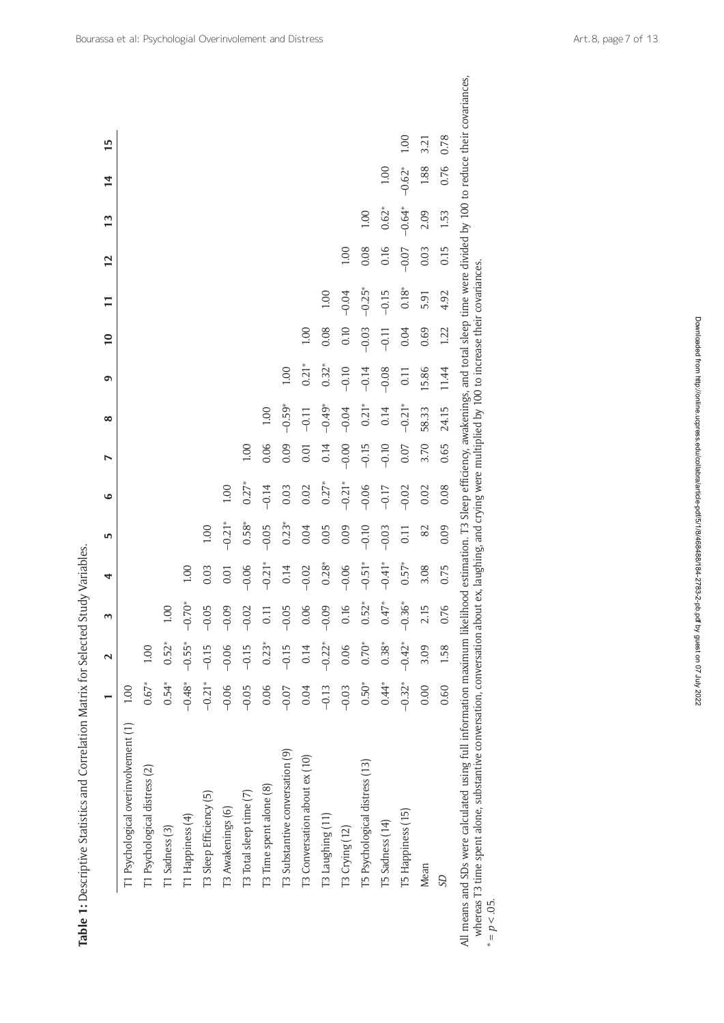|                                      |          | 2        | 3                        | 4        | 5        | $\bullet$ | N       | $\infty$ | ٥       |         |          | 12      | 13       | 14       | 15   |
|--------------------------------------|----------|----------|--------------------------|----------|----------|-----------|---------|----------|---------|---------|----------|---------|----------|----------|------|
| T1 Psychological overinvolvement (1) | 1.00     |          |                          |          |          |           |         |          |         |         |          |         |          |          |      |
| T1 Psychological distress (2)        | $0.67*$  | 1.00     |                          |          |          |           |         |          |         |         |          |         |          |          |      |
| T1 Sadness (3)                       | $0.54*$  | $0.52*$  | 00                       |          |          |           |         |          |         |         |          |         |          |          |      |
| T1 Happiness (4)                     | $-0.48*$ | $-0.55*$ | $50^*$<br>$\overline{P}$ | 1.00     |          |           |         |          |         |         |          |         |          |          |      |
| T3 Sleep Efficiency (5)              | $-0.21*$ | $-0.15$  | 05<br>i                  | 0.03     | 1.00     |           |         |          |         |         |          |         |          |          |      |
| T3 Awakenings (6)                    | $-0.06$  | $-0.06$  | 09<br>i                  | 0.01     | $-0.21*$ | 1.00      |         |          |         |         |          |         |          |          |      |
| T3 Total sleep time (7)              | $-0.05$  | $-0.15$  | $-0.02$                  | $-0.06$  | $0.58*$  | $0.27*$   | 1.00    |          |         |         |          |         |          |          |      |
| T3 Time spent alone (8)              | 0.06     | $0.23*$  | 0.11                     | $-0.21*$ | $-0.05$  | $-0.14$   | 0.06    | 1.00     |         |         |          |         |          |          |      |
| T3 Substantive conversation (9)      | $-0.07$  | $-0.15$  | $-0.05$                  | 0.14     | $0.23*$  | 0.03      | 0.09    | $-0.59*$ | 1.00    |         |          |         |          |          |      |
| T3 Conversation about ex (10)        | 0.04     | 0.14     | 0.06<br>$\circ$          | $-0.02$  | 0.04     | 0.02      | 0.01    | $-0.11$  | $0.21*$ | 1.00    |          |         |          |          |      |
| T3 Laughing (11)                     | $-0.13$  | $-0.22*$ | 09<br>$\overline{P}$     | $0.28*$  | 0.05     | $0.27*$   | 0.14    | $-0.49*$ | $0.32*$ | 0.08    | 1.00     |         |          |          |      |
| T3 Crying (12)                       | $-0.03$  | 0.06     | 0.16                     | $-0.06$  | 0.09     | $-0.21*$  | $-0.00$ | $-0.04$  | $-0.10$ | 0.10    | $-0.04$  | 1.00    |          |          |      |
| T5 Psychological distress (13)       | $0.50*$  | $0.70*$  | $0.52*$                  | $-0.51*$ | $-0.10$  | $-0.06$   | $-0.15$ | $0.21*$  | $-0.14$ | $-0.03$ | $-0.25*$ | 0.08    | 1.00     |          |      |
| T5 Sadness (14)                      | $0.44*$  | $0.38*$  | $47*$                    | $-0.41*$ | $-0.03$  | $-0.17$   | $-0.10$ | 0.14     | $-0.08$ | $-0.11$ | $-0.15$  | 0.16    | $0.62*$  | 1.00     |      |
| T5 Happiness (15)                    | $-0.32*$ | $-0.42*$ | $-0.36*$                 | $0.57*$  | 0.11     | $-0.02$   | 0.07    | $-0.21*$ | 0.11    | 0.04    | $0.18*$  | $-0.07$ | $-0.64*$ | $-0.62*$ | 1.00 |
| Mean                                 | 0.00     | 3.09     | 2.15                     | 3.08     | 82       | 0.02      | 3.70    | 58.33    | 15.86   | 0.69    | 5.91     | 0.03    | 2.09     | 1.88     | 3.21 |
| <b>GS</b>                            | 0.60     | 1.58     | 0.76                     | 0.75     | 0.09     | 0.08      | 0.65    | 24.15    | 11.44   | 1.22    | 4.92     | 0.15    | 1.53     | 0.76     | 0.78 |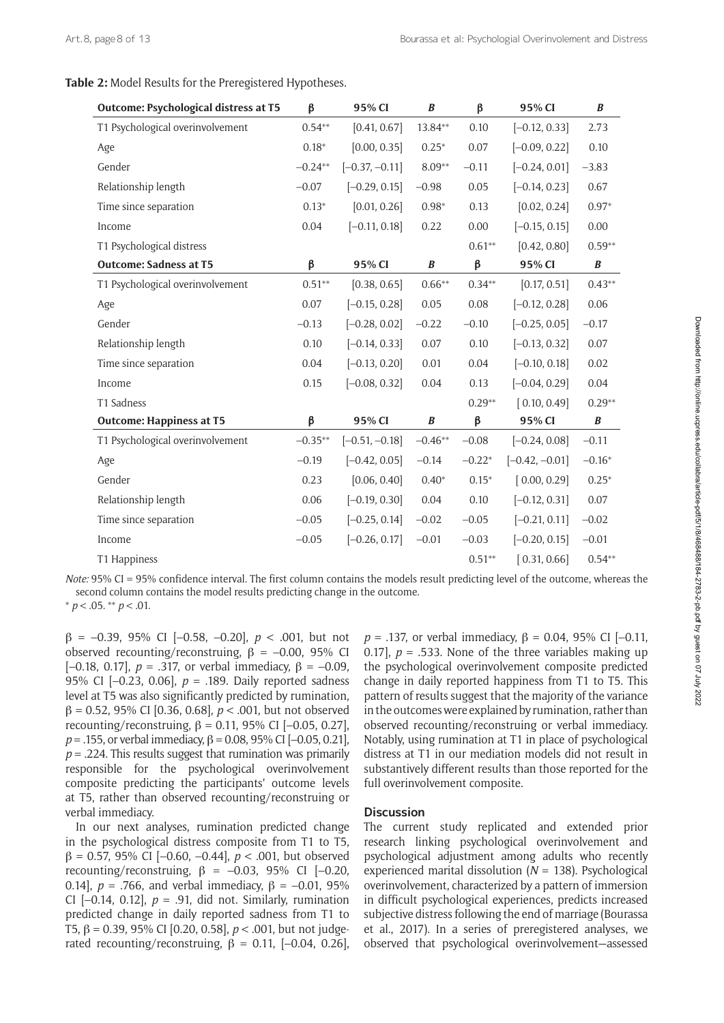# **Table 2:** Model Results for the Preregistered Hypotheses.

| Outcome: Psychological distress at T5 | $\beta$   | 95% CI           | $\boldsymbol{B}$ | $\beta$  | 95% CI           | B         |
|---------------------------------------|-----------|------------------|------------------|----------|------------------|-----------|
| T1 Psychological overinvolvement      | $0.54**$  | [0.41, 0.67]     | 13.84**          | 0.10     | $[-0.12, 0.33]$  | 2.73      |
| Age                                   | $0.18*$   | [0.00, 0.35]     | $0.25*$          | 0.07     | $[-0.09, 0.22]$  | 0.10      |
| Gender                                | $-0.24**$ | $[-0.37, -0.11]$ | $8.09**$         | $-0.11$  | $[-0.24, 0.01]$  | $-3.83$   |
| Relationship length                   | $-0.07$   | $[-0.29, 0.15]$  | $-0.98$          | 0.05     | $[-0.14, 0.23]$  | 0.67      |
| Time since separation                 | $0.13*$   | [0.01, 0.26]     | $0.98*$          | 0.13     | [0.02, 0.24]     | $0.97*$   |
| Income                                | 0.04      | $[-0.11, 0.18]$  | 0.22             | 0.00     | $[-0.15, 0.15]$  | 0.00      |
| T1 Psychological distress             |           |                  |                  | $0.61**$ | [0.42, 0.80]     | $0.59**$  |
| <b>Outcome: Sadness at T5</b>         | β         | 95% CI           | $\boldsymbol{B}$ | β        | 95% CI           | $\pmb{B}$ |
| T1 Psychological overinvolvement      | $0.51**$  | [0.38, 0.65]     | $0.66***$        | $0.34**$ | [0.17, 0.51]     | $0.43**$  |
| Age                                   | 0.07      | $[-0.15, 0.28]$  | 0.05             | 0.08     | $[-0.12, 0.28]$  | 0.06      |
| Gender                                | $-0.13$   | $[-0.28, 0.02]$  | $-0.22$          | $-0.10$  | $[-0.25, 0.05]$  | $-0.17$   |
| Relationship length                   | 0.10      | $[-0.14, 0.33]$  | 0.07             | 0.10     | $[-0.13, 0.32]$  | 0.07      |
| Time since separation                 | 0.04      | $[-0.13, 0.20]$  | 0.01             | 0.04     | $[-0.10, 0.18]$  | 0.02      |
| Income                                | 0.15      | $[-0.08, 0.32]$  | 0.04             | 0.13     | $[-0.04, 0.29]$  | 0.04      |
| T1 Sadness                            |           |                  |                  | $0.29**$ | [0.10, 0.49]     | $0.29**$  |
| <b>Outcome: Happiness at T5</b>       | $\beta$   | 95% CI           | B                | β        | 95% CI           | B         |
| T1 Psychological overinvolvement      | $-0.35**$ | $[-0.51, -0.18]$ | $-0.46**$        | $-0.08$  | $[-0.24, 0.08]$  | $-0.11$   |
| Age                                   | $-0.19$   | $[-0.42, 0.05]$  | $-0.14$          | $-0.22*$ | $[-0.42, -0.01]$ | $-0.16*$  |
| Gender                                | 0.23      | [0.06, 0.40]     | $0.40*$          | $0.15*$  | [0.00, 0.29]     | $0.25*$   |
| Relationship length                   | 0.06      | $[-0.19, 0.30]$  | 0.04             | 0.10     | $[-0.12, 0.31]$  | 0.07      |
| Time since separation                 | $-0.05$   | $[-0.25, 0.14]$  | $-0.02$          | $-0.05$  | $[-0.21, 0.11]$  | $-0.02$   |
| Income                                | $-0.05$   | $[-0.26, 0.17]$  | $-0.01$          | $-0.03$  | $[-0.20, 0.15]$  | $-0.01$   |
| T1 Happiness                          |           |                  |                  | $0.51**$ | [0.31, 0.66]     | $0.54**$  |

*Note:* 95% CI = 95% confidence interval. The first column contains the models result predicting level of the outcome, whereas the second column contains the model results predicting change in the outcome. \* *p* < .05. \*\* *p* < .01.

β = –0.39, 95% CI [–0.58, –0.20], *p* < .001, but not observed recounting/reconstruing,  $β = -0.00$ , 95% CI [–0.18, 0.17], *p* = .317, or verbal immediacy, β = –0.09, 95% CI [–0.23, 0.06], *p* = .189. Daily reported sadness level at T5 was also significantly predicted by rumination, β = 0.52, 95% CI [0.36, 0.68], *p* < .001, but not observed recounting/reconstruing, β = 0.11, 95% CI [–0.05, 0.27], *p* = .155, or verbal immediacy, β = 0.08, 95% CI [–0.05, 0.21],  $p = 0.224$ . This results suggest that rumination was primarily responsible for the psychological overinvolvement composite predicting the participants' outcome levels at T5, rather than observed recounting/reconstruing or verbal immediacy.

In our next analyses, rumination predicted change in the psychological distress composite from T1 to T5, β = 0.57, 95% CI [–0.60, –0.44], *p* < .001, but observed recounting/reconstruing,  $\beta = -0.03$ , 95% CI [-0.20, 0.14],  $p = .766$ , and verbal immediacy,  $β = -0.01$ , 95% CI  $[-0.14, 0.12]$ ,  $p = .91$ , did not. Similarly, rumination predicted change in daily reported sadness from T1 to T5, β = 0.39, 95% CI [0.20, 0.58], *p* < .001, but not judgerated recounting/reconstruing,  $\beta = 0.11$ , [-0.04, 0.26], *p* = .137, or verbal immediacy, β = 0.04, 95% CI [–0.11, 0.17],  $p = 0.533$ . None of the three variables making up the psychological overinvolvement composite predicted change in daily reported happiness from T1 to T5. This pattern of results suggest that the majority of the variance in the outcomes were explained by rumination, rather than observed recounting/reconstruing or verbal immediacy. Notably, using rumination at T1 in place of psychological distress at T1 in our mediation models did not result in substantively different results than those reported for the full overinvolvement composite.

# **Discussion**

The current study replicated and extended prior research linking psychological overinvolvement and psychological adjustment among adults who recently experienced marital dissolution ( $N = 138$ ). Psychological overinvolvement, characterized by a pattern of immersion in difficult psychological experiences, predicts increased subjective distress following the end of marriage (Bourassa et al., 2017). In a series of preregistered analyses, we observed that psychological overinvolvement—assessed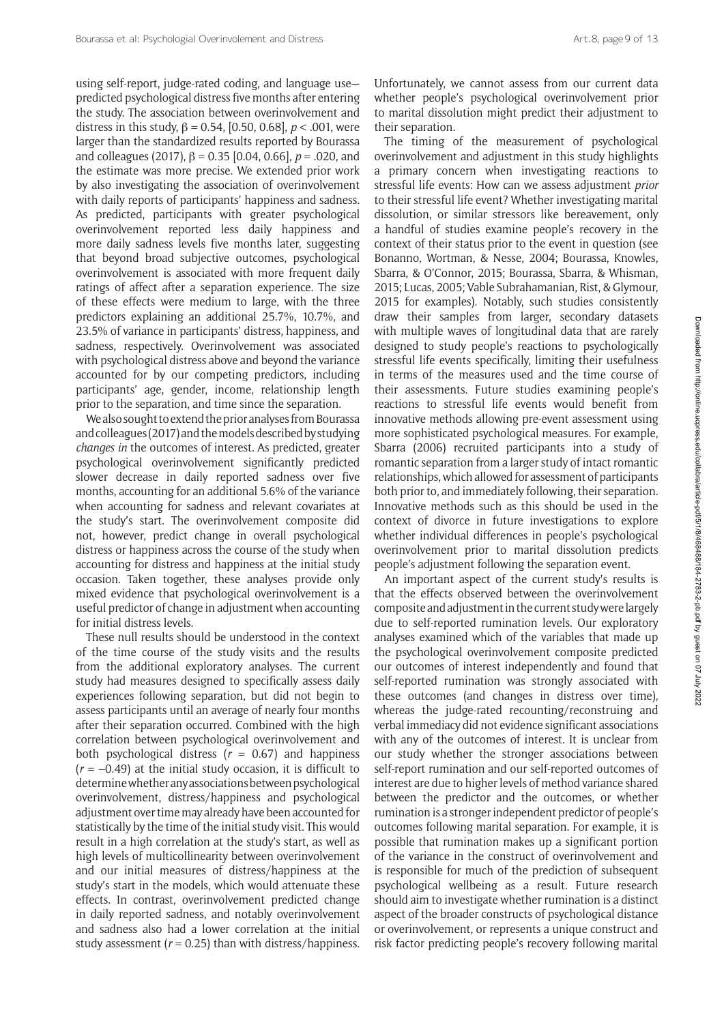using self-report, judge-rated coding, and language use predicted psychological distress five months after entering the study. The association between overinvolvement and distress in this study, β = 0.54, [0.50, 0.68], *p* < .001, were larger than the standardized results reported by Bourassa and colleagues (2017), β = 0.35 [0.04, 0.66], *p* = .020, and the estimate was more precise. We extended prior work by also investigating the association of overinvolvement with daily reports of participants' happiness and sadness. As predicted, participants with greater psychological overinvolvement reported less daily happiness and more daily sadness levels five months later, suggesting that beyond broad subjective outcomes, psychological overinvolvement is associated with more frequent daily ratings of affect after a separation experience. The size of these effects were medium to large, with the three predictors explaining an additional 25.7%, 10.7%, and 23.5% of variance in participants' distress, happiness, and sadness, respectively. Overinvolvement was associated with psychological distress above and beyond the variance accounted for by our competing predictors, including participants' age, gender, income, relationship length prior to the separation, and time since the separation.

We also sought to extend the prior analyses from Bourassa and colleagues (2017) and the models described by studying *changes in* the outcomes of interest. As predicted, greater psychological overinvolvement significantly predicted slower decrease in daily reported sadness over five months, accounting for an additional 5.6% of the variance when accounting for sadness and relevant covariates at the study's start. The overinvolvement composite did not, however, predict change in overall psychological distress or happiness across the course of the study when accounting for distress and happiness at the initial study occasion. Taken together, these analyses provide only mixed evidence that psychological overinvolvement is a useful predictor of change in adjustment when accounting for initial distress levels.

These null results should be understood in the context of the time course of the study visits and the results from the additional exploratory analyses. The current study had measures designed to specifically assess daily experiences following separation, but did not begin to assess participants until an average of nearly four months after their separation occurred. Combined with the high correlation between psychological overinvolvement and both psychological distress  $(r = 0.67)$  and happiness  $(r = -0.49)$  at the initial study occasion, it is difficult to determine whether any associations between psychological overinvolvement, distress/happiness and psychological adjustment over time may already have been accounted for statistically by the time of the initial study visit. This would result in a high correlation at the study's start, as well as high levels of multicollinearity between overinvolvement and our initial measures of distress/happiness at the study's start in the models, which would attenuate these effects. In contrast, overinvolvement predicted change in daily reported sadness, and notably overinvolvement and sadness also had a lower correlation at the initial study assessment ( $r = 0.25$ ) than with distress/happiness.

Unfortunately, we cannot assess from our current data whether people's psychological overinvolvement prior to marital dissolution might predict their adjustment to their separation.

The timing of the measurement of psychological overinvolvement and adjustment in this study highlights a primary concern when investigating reactions to stressful life events: How can we assess adjustment *prior* to their stressful life event? Whether investigating marital dissolution, or similar stressors like bereavement, only a handful of studies examine people's recovery in the context of their status prior to the event in question (see Bonanno, Wortman, & Nesse, 2004; Bourassa, Knowles, Sbarra, & O'Connor, 2015; Bourassa, Sbarra, & Whisman, 2015; Lucas, 2005; Vable Subrahamanian, Rist, & Glymour, 2015 for examples). Notably, such studies consistently draw their samples from larger, secondary datasets with multiple waves of longitudinal data that are rarely designed to study people's reactions to psychologically stressful life events specifically, limiting their usefulness in terms of the measures used and the time course of their assessments. Future studies examining people's reactions to stressful life events would benefit from innovative methods allowing pre-event assessment using more sophisticated psychological measures. For example, Sbarra (2006) recruited participants into a study of romantic separation from a larger study of intact romantic relationships, which allowed for assessment of participants both prior to, and immediately following, their separation. Innovative methods such as this should be used in the context of divorce in future investigations to explore whether individual differences in people's psychological overinvolvement prior to marital dissolution predicts people's adjustment following the separation event.

An important aspect of the current study's results is that the effects observed between the overinvolvement composite and adjustment in the current study were largely due to self-reported rumination levels. Our exploratory analyses examined which of the variables that made up the psychological overinvolvement composite predicted our outcomes of interest independently and found that self-reported rumination was strongly associated with these outcomes (and changes in distress over time), whereas the judge-rated recounting/reconstruing and verbal immediacy did not evidence significant associations with any of the outcomes of interest. It is unclear from our study whether the stronger associations between self-report rumination and our self-reported outcomes of interest are due to higher levels of method variance shared between the predictor and the outcomes, or whether rumination is a stronger independent predictor of people's outcomes following marital separation. For example, it is possible that rumination makes up a significant portion of the variance in the construct of overinvolvement and is responsible for much of the prediction of subsequent psychological wellbeing as a result. Future research should aim to investigate whether rumination is a distinct aspect of the broader constructs of psychological distance or overinvolvement, or represents a unique construct and risk factor predicting people's recovery following marital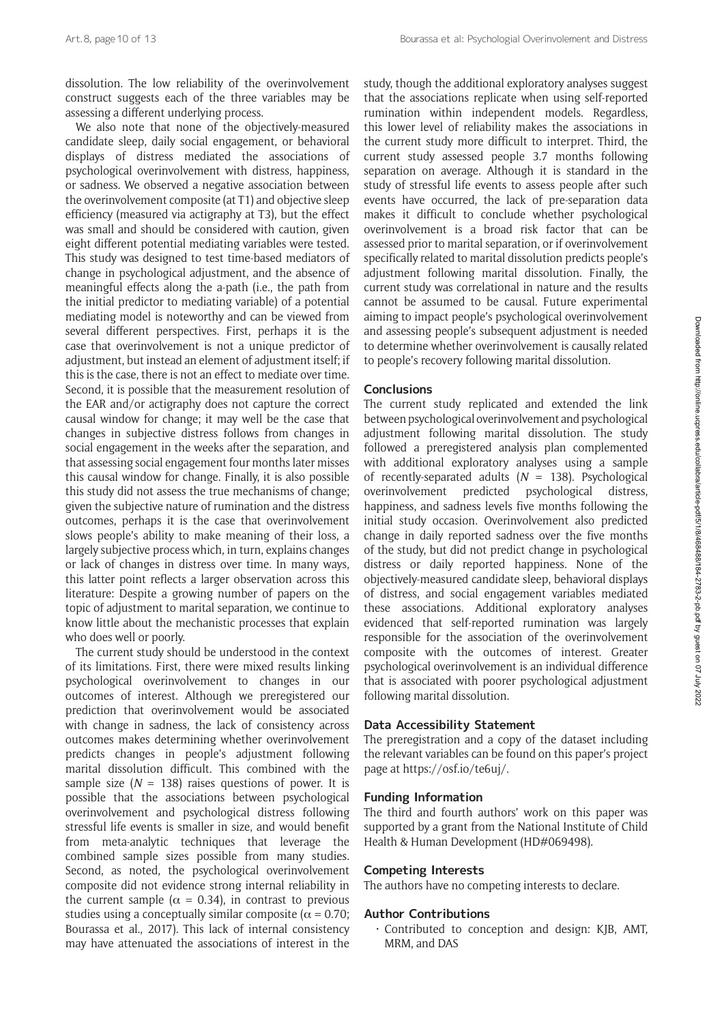dissolution. The low reliability of the overinvolvement construct suggests each of the three variables may be assessing a different underlying process.

We also note that none of the objectively-measured candidate sleep, daily social engagement, or behavioral displays of distress mediated the associations of psychological overinvolvement with distress, happiness, or sadness. We observed a negative association between the overinvolvement composite (at T1) and objective sleep efficiency (measured via actigraphy at T3), but the effect was small and should be considered with caution, given eight different potential mediating variables were tested. This study was designed to test time-based mediators of change in psychological adjustment, and the absence of meaningful effects along the a-path (i.e., the path from the initial predictor to mediating variable) of a potential mediating model is noteworthy and can be viewed from several different perspectives. First, perhaps it is the case that overinvolvement is not a unique predictor of adjustment, but instead an element of adjustment itself; if this is the case, there is not an effect to mediate over time. Second, it is possible that the measurement resolution of the EAR and/or actigraphy does not capture the correct causal window for change; it may well be the case that changes in subjective distress follows from changes in social engagement in the weeks after the separation, and that assessing social engagement four months later misses this causal window for change. Finally, it is also possible this study did not assess the true mechanisms of change; given the subjective nature of rumination and the distress outcomes, perhaps it is the case that overinvolvement slows people's ability to make meaning of their loss, a largely subjective process which, in turn, explains changes or lack of changes in distress over time. In many ways, this latter point reflects a larger observation across this literature: Despite a growing number of papers on the topic of adjustment to marital separation, we continue to know little about the mechanistic processes that explain who does well or poorly.

The current study should be understood in the context of its limitations. First, there were mixed results linking psychological overinvolvement to changes in our outcomes of interest. Although we preregistered our prediction that overinvolvement would be associated with change in sadness, the lack of consistency across outcomes makes determining whether overinvolvement predicts changes in people's adjustment following marital dissolution difficult. This combined with the sample size  $(N = 138)$  raises questions of power. It is possible that the associations between psychological overinvolvement and psychological distress following stressful life events is smaller in size, and would benefit from meta-analytic techniques that leverage the combined sample sizes possible from many studies. Second, as noted, the psychological overinvolvement composite did not evidence strong internal reliability in the current sample ( $\alpha = 0.34$ ), in contrast to previous studies using a conceptually similar composite ( $\alpha = 0.70$ ; Bourassa et al., 2017). This lack of internal consistency may have attenuated the associations of interest in the

study, though the additional exploratory analyses suggest that the associations replicate when using self-reported rumination within independent models. Regardless, this lower level of reliability makes the associations in the current study more difficult to interpret. Third, the current study assessed people 3.7 months following separation on average. Although it is standard in the study of stressful life events to assess people after such events have occurred, the lack of pre-separation data makes it difficult to conclude whether psychological overinvolvement is a broad risk factor that can be assessed prior to marital separation, or if overinvolvement specifically related to marital dissolution predicts people's adjustment following marital dissolution. Finally, the current study was correlational in nature and the results cannot be assumed to be causal. Future experimental aiming to impact people's psychological overinvolvement and assessing people's subsequent adjustment is needed to determine whether overinvolvement is causally related to people's recovery following marital dissolution.

# **Conclusions**

The current study replicated and extended the link between psychological overinvolvement and psychological adjustment following marital dissolution. The study followed a preregistered analysis plan complemented with additional exploratory analyses using a sample of recently-separated adults (*N* = 138). Psychological overinvolvement predicted psychological distress, happiness, and sadness levels five months following the initial study occasion. Overinvolvement also predicted change in daily reported sadness over the five months of the study, but did not predict change in psychological distress or daily reported happiness. None of the objectively-measured candidate sleep, behavioral displays of distress, and social engagement variables mediated these associations. Additional exploratory analyses evidenced that self-reported rumination was largely responsible for the association of the overinvolvement composite with the outcomes of interest. Greater psychological overinvolvement is an individual difference that is associated with poorer psychological adjustment following marital dissolution.

# **Data Accessibility Statement**

The preregistration and a copy of the dataset including the relevant variables can be found on this paper's project page at [https://osf.io/te6uj/.](https://osf.io/te6uj/)

# **Funding Information**

The third and fourth authors' work on this paper was supported by a grant from the National Institute of Child Health & Human Development (HD#069498).

# **Competing Interests**

The authors have no competing interests to declare.

# **Author Contributions**

• Contributed to conception and design: KJB, AMT, MRM, and DAS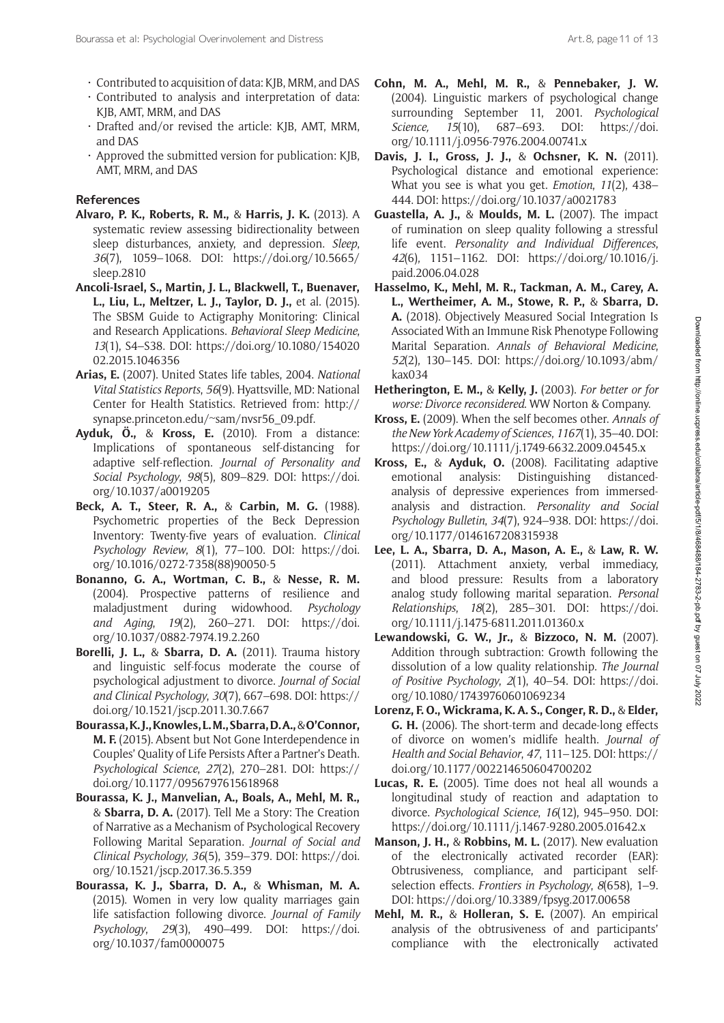- Contributed to acquisition of data: KJB, MRM, and DAS
- Contributed to analysis and interpretation of data: KJB, AMT, MRM, and DAS
- Drafted and/or revised the article: KJB, AMT, MRM, and DAS
- Approved the submitted version for publication: KJB, AMT, MRM, and DAS

# **References**

- **Alvaro, P. K., Roberts, R. M.,** & **Harris, J. K.** (2013). A systematic review assessing bidirectionality between sleep disturbances, anxiety, and depression. *Sleep*, *36*(7), 1059–1068. DOI: [https://doi.org/10.5665/](https://doi.org/10.5665/sleep.2810) [sleep.2810](https://doi.org/10.5665/sleep.2810)
- **Ancoli-Israel, S., Martin, J. L., Blackwell, T., Buenaver, L., Liu, L., Meltzer, L. J., Taylor, D. J.,** et al. (2015). The SBSM Guide to Actigraphy Monitoring: Clinical and Research Applications. *Behavioral Sleep Medicine*, *13*(1), S4–S38. DOI: [https://doi.org/10.1080/154020](https://doi.org/10.1080/15402002.2015.1046356) [02.2015.1046356](https://doi.org/10.1080/15402002.2015.1046356)
- **Arias, E.** (2007). United States life tables, 2004. *National Vital Statistics Reports*, *56*(9). Hyattsville, MD: National Center for Health Statistics. Retrieved from: [http://](http://synapse.princeton.edu/~sam/nvsr56_09.pdf) [synapse.princeton.edu/~sam/nvsr56\\_09.pdf](http://synapse.princeton.edu/~sam/nvsr56_09.pdf).
- **Ayduk, Ö.,** & **Kross, E.** (2010). From a distance: Implications of spontaneous self-distancing for adaptive self-reflection. *Journal of Personality and Social Psychology*, *98*(5), 809–829. DOI: [https://doi.](https://doi.org/10.1037/a0019205) [org/10.1037/a0019205](https://doi.org/10.1037/a0019205)
- **Beck, A. T., Steer, R. A.,** & **Carbin, M. G.** (1988). Psychometric properties of the Beck Depression Inventory: Twenty-five years of evaluation. *Clinical Psychology Review*, *8*(1), 77–100. DOI: [https://doi.](https://doi.org/10.1016/0272-7358(88)90050-5) [org/10.1016/0272-7358\(88\)90050-5](https://doi.org/10.1016/0272-7358(88)90050-5)
- **Bonanno, G. A., Wortman, C. B.,** & **Nesse, R. M.** (2004). Prospective patterns of resilience and maladjustment during widowhood. *Psychology and Aging*, *19*(2), 260–271. DOI: [https://doi.](https://doi.org/10.1037/0882-7974.19.2.260) [org/10.1037/0882-7974.19.2.260](https://doi.org/10.1037/0882-7974.19.2.260)
- **Borelli, J. L.,** & **Sbarra, D. A.** (2011). Trauma history and linguistic self-focus moderate the course of psychological adjustment to divorce. *Journal of Social and Clinical Psychology*, *30*(7), 667–698. DOI: [https://](https://doi.org/10.1521/jscp.2011.30.7.667) [doi.org/10.1521/jscp.2011.30.7.667](https://doi.org/10.1521/jscp.2011.30.7.667)
- **Bourassa, K. J., Knowles, L. M., Sbarra, D. A.,** & **O'Connor, M. F.** (2015). Absent but Not Gone Interdependence in Couples' Quality of Life Persists After a Partner's Death. *Psychological Science*, *27*(2), 270–281. DOI: [https://](https://doi.org/10.1177/0956797615618968) [doi.org/10.1177/0956797615618968](https://doi.org/10.1177/0956797615618968)
- **Bourassa, K. J., Manvelian, A., Boals, A., Mehl, M. R.,** & **Sbarra, D. A.** (2017). Tell Me a Story: The Creation of Narrative as a Mechanism of Psychological Recovery Following Marital Separation. *Journal of Social and Clinical Psychology*, *36*(5), 359–379. DOI: [https://doi.](https://doi.org/10.1521/jscp.2017.36.5.359) [org/10.1521/jscp.2017.36.5.359](https://doi.org/10.1521/jscp.2017.36.5.359)
- **Bourassa, K. J., Sbarra, D. A.,** & **Whisman, M. A.** (2015). Women in very low quality marriages gain life satisfaction following divorce. *Journal of Family Psychology*, *29*(3), 490–499. DOI: [https://doi.](https://doi.org/10.1037/fam0000075) [org/10.1037/fam0000075](https://doi.org/10.1037/fam0000075)
- **Cohn, M. A., Mehl, M. R.,** & **Pennebaker, J. W.** (2004). Linguistic markers of psychological change surrounding September 11, 2001. *Psychological Science, 15*(10), 687–693. DOI: [https://doi.](https://doi.org/10.1111/j.0956-7976.2004.00741.x) [org/10.1111/j.0956-7976.2004.00741.x](https://doi.org/10.1111/j.0956-7976.2004.00741.x)
- **Davis, J. I., Gross, J. J.,** & **Ochsner, K. N.** (2011). Psychological distance and emotional experience: What you see is what you get. *Emotion*, *11*(2), 438– 444. DOI:<https://doi.org/10.1037/a0021783>
- **Guastella, A. J.,** & **Moulds, M. L.** (2007). The impact of rumination on sleep quality following a stressful life event. *Personality and Individual Differences*, *42*(6), 1151–1162. DOI: [https://doi.org/10.1016/j.](https://doi.org/10.1016/j.paid.2006.04.028) [paid.2006.04.028](https://doi.org/10.1016/j.paid.2006.04.028)
- **Hasselmo, K., Mehl, M. R., Tackman, A. M., Carey, A. L., Wertheimer, A. M., Stowe, R. P.,** & **Sbarra, D. A.** (2018). Objectively Measured Social Integration Is Associated With an Immune Risk Phenotype Following Marital Separation. *Annals of Behavioral Medicine*, *52*(2), 130–145. DOI: [https://doi.org/10.1093/abm/](https://doi.org/10.1093/abm/kax034) [kax034](https://doi.org/10.1093/abm/kax034)
- **Hetherington, E. M.,** & **Kelly, J.** (2003). *For better or for worse: Divorce reconsidered*. WW Norton & Company.
- **Kross, E.** (2009). When the self becomes other. *Annals of the New York Academy of Sciences*, *1167*(1), 35–40. DOI: <https://doi.org/10.1111/j.1749-6632.2009.04545.x>
- **Kross, E.,** & **Ayduk, O.** (2008). Facilitating adaptive emotional analysis: Distinguishing distancedanalysis of depressive experiences from immersedanalysis and distraction. *Personality and Social Psychology Bulletin*, *34*(7), 924–938. DOI: [https://doi.](https://doi.org/10.1177%2F0146167208315938) [org/10.1177/0146167208315938](https://doi.org/10.1177%2F0146167208315938)
- **Lee, L. A., Sbarra, D. A., Mason, A. E.,** & **Law, R. W.** (2011). Attachment anxiety, verbal immediacy, and blood pressure: Results from a laboratory analog study following marital separation. *Personal Relationships*, *18*(2), 285–301. DOI: [https://doi.](https://doi.org/10.1111/j.1475-6811.2011.01360.x) [org/10.1111/j.1475-6811.2011.01360.x](https://doi.org/10.1111/j.1475-6811.2011.01360.x)
- **Lewandowski, G. W., Jr.,** & **Bizzoco, N. M.** (2007). Addition through subtraction: Growth following the dissolution of a low quality relationship. *The Journal of Positive Psychology*, *2*(1), 40–54. DOI: [https://doi.](https://doi.org/10.1080/17439760601069234) [org/10.1080/17439760601069234](https://doi.org/10.1080/17439760601069234)
- **Lorenz, F. O., Wickrama, K. A. S., Conger, R. D.,** & **Elder, G. H.** (2006). The short-term and decade-long effects of divorce on women's midlife health. *Journal of Health and Social Behavior*, *47*, 111–125. DOI: [https://](https://doi.org/10.1177/002214650604700202) [doi.org/10.1177/002214650604700202](https://doi.org/10.1177/002214650604700202)
- **Lucas, R. E.** (2005). Time does not heal all wounds a longitudinal study of reaction and adaptation to divorce. *Psychological Science*, *16*(12), 945–950. DOI: <https://doi.org/10.1111/j.1467-9280.2005.01642.x>
- **Manson, J. H.,** & **Robbins, M. L.** (2017). New evaluation of the electronically activated recorder (EAR): Obtrusiveness, compliance, and participant selfselection effects. *Frontiers in Psychology*, *8*(658), 1–9. DOI: <https://doi.org/10.3389/fpsyg.2017.00658>
- **Mehl, M. R.,** & **Holleran, S. E.** (2007). An empirical analysis of the obtrusiveness of and participants' compliance with the electronically activated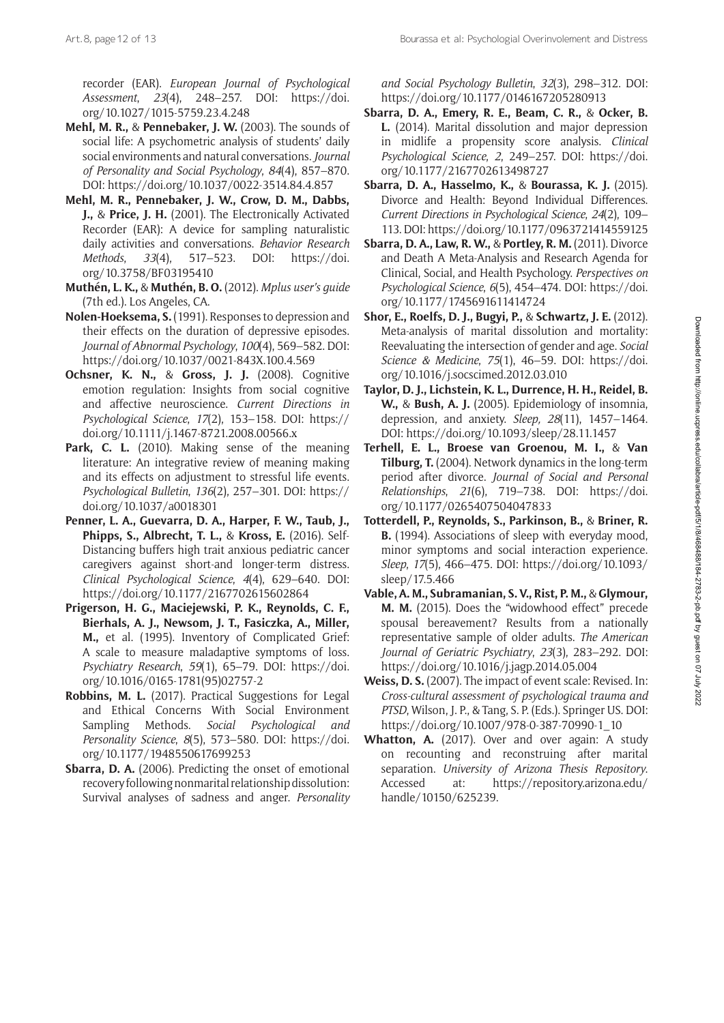Art.8, page 12 of 13 **Bourassa et al: Psychologial Overinvolement and Distress** Art.8, page<sup>12</sup> of 13

recorder (EAR). *European Journal of Psychological Assessment*, *23*(4), 248–257. DOI: [https://doi.](https://doi.org/10.1027/1015-5759.23.4.248) [org/10.1027/1015-5759.23.4.248](https://doi.org/10.1027/1015-5759.23.4.248)

- **Mehl, M. R.,** & **Pennebaker, J. W.** (2003). The sounds of social life: A psychometric analysis of students' daily social environments and natural conversations. *Journal of Personality and Social Psychology*, *84*(4), 857–870. DOI: <https://doi.org/10.1037/0022-3514.84.4.857>
- **Mehl, M. R., Pennebaker, J. W., Crow, D. M., Dabbs, J.,** & **Price, J. H.** (2001). The Electronically Activated Recorder (EAR): A device for sampling naturalistic daily activities and conversations. *Behavior Research Methods*, *33*(4), 517–523. DOI: [https://doi.](https://doi.org/10.3758/BF03195410) [org/10.3758/BF03195410](https://doi.org/10.3758/BF03195410)
- **Muthén, L. K.,** & **Muthén, B. O.** (2012). *Mplus user's guide* (7th ed.). Los Angeles, CA.
- **Nolen-Hoeksema, S.** (1991). Responses to depression and their effects on the duration of depressive episodes. *Journal of Abnormal Psychology*, *100*(4), 569–582. DOI: <https://doi.org/10.1037/0021-843X.100.4.569>
- **Ochsner, K. N.,** & **Gross, J. J.** (2008). Cognitive emotion regulation: Insights from social cognitive and affective neuroscience. *Current Directions in Psychological Science*, *17*(2), 153–158. DOI: [https://](https://doi.org/10.1111/j.1467-8721.2008.00566.x) [doi.org/10.1111/j.1467-8721.2008.00566.x](https://doi.org/10.1111/j.1467-8721.2008.00566.x)
- Park, C. L. (2010). Making sense of the meaning literature: An integrative review of meaning making and its effects on adjustment to stressful life events. *Psychological Bulletin*, *136*(2), 257–301. DOI: [https://](https://doi.org/10.1037/a0018301) [doi.org/10.1037/a0018301](https://doi.org/10.1037/a0018301)
- **Penner, L. A., Guevarra, D. A., Harper, F. W., Taub, J., Phipps, S., Albrecht, T. L.,** & **Kross, E.** (2016). Self-Distancing buffers high trait anxious pediatric cancer caregivers against short-and longer-term distress. *Clinical Psychological Science*, *4*(4), 629–640. DOI: <https://doi.org/10.1177/2167702615602864>
- **Prigerson, H. G., Maciejewski, P. K., Reynolds, C. F., Bierhals, A. J., Newsom, J. T., Fasiczka, A., Miller, M.,** et al. (1995). Inventory of Complicated Grief: A scale to measure maladaptive symptoms of loss. *Psychiatry Research*, *59*(1), 65–79. DOI: [https://doi.](https://doi.org/10.1016/0165-1781(95)02757-2) [org/10.1016/0165-1781\(95\)02757-2](https://doi.org/10.1016/0165-1781(95)02757-2)
- **Robbins, M. L.** (2017). Practical Suggestions for Legal and Ethical Concerns With Social Environment Sampling Methods. *Social Psychological and Personality Science*, *8*(5), 573–580. DOI: [https://doi.](https://doi.org/10.1177/1948550617699253) [org/10.1177/1948550617699253](https://doi.org/10.1177/1948550617699253)
- **Sbarra, D. A.** (2006). Predicting the onset of emotional recovery following nonmarital relationship dissolution: Survival analyses of sadness and anger. *Personality*

*and Social Psychology Bulletin*, *32*(3), 298–312. DOI: <https://doi.org/10.1177/0146167205280913>

- **Sbarra, D. A., Emery, R. E., Beam, C. R.,** & **Ocker, B. L.** (2014). Marital dissolution and major depression in midlife a propensity score analysis. *Clinical Psychological Science*, *2*, 249–257. DOI: [https://doi.](https://doi.org/10.1177/2167702613498727) [org/10.1177/2167702613498727](https://doi.org/10.1177/2167702613498727)
- **Sbarra, D. A., Hasselmo, K.,** & **Bourassa, K. J.** (2015). Divorce and Health: Beyond Individual Differences. *Current Directions in Psychological Science*, *24*(2), 109– 113. DOI:<https://doi.org/10.1177/0963721414559125>
- **Sbarra, D. A., Law, R. W.,** & **Portley, R. M.** (2011). Divorce and Death A Meta-Analysis and Research Agenda for Clinical, Social, and Health Psychology. *Perspectives on Psychological Science*, *6*(5), 454–474. DOI: [https://doi.](https://doi.org/10.1177/1745691611414724) [org/10.1177/1745691611414724](https://doi.org/10.1177/1745691611414724)
- **Shor, E., Roelfs, D. J., Bugyi, P.,** & **Schwartz, J. E.** (2012). Meta-analysis of marital dissolution and mortality: Reevaluating the intersection of gender and age. *Social Science & Medicine*, *75*(1), 46–59. DOI: [https://doi.](https://doi.org/10.1016/j.socscimed.2012.03.010) [org/10.1016/j.socscimed.2012.03.010](https://doi.org/10.1016/j.socscimed.2012.03.010)
- **Taylor, D. J., Lichstein, K. L., Durrence, H. H., Reidel, B. W.,** & **Bush, A. J.** (2005). Epidemiology of insomnia, depression, and anxiety. *Sleep, 28*(11), 1457–1464. DOI:<https://doi.org/10.1093/sleep/28.11.1457>
- **Terhell, E. L., Broese van Groenou, M. I.,** & **Van Tilburg, T.** (2004). Network dynamics in the long-term period after divorce. *Journal of Social and Personal Relationships*, *21*(6), 719–738. DOI: [https://doi.](https://doi.org/10.1177/0265407504047833) [org/10.1177/0265407504047833](https://doi.org/10.1177/0265407504047833)
- **Totterdell, P., Reynolds, S., Parkinson, B.,** & **Briner, R. B.** (1994). Associations of sleep with everyday mood, minor symptoms and social interaction experience. *Sleep*, *17*(5), 466–475. DOI: [https://doi.org/10.1093/](https://doi.org/10.1093/sleep/17.5.466) [sleep/17.5.466](https://doi.org/10.1093/sleep/17.5.466)
- **Vable, A. M., Subramanian, S. V., Rist, P. M.,** & **Glymour, M. M.** (2015). Does the "widowhood effect" precede spousal bereavement? Results from a nationally representative sample of older adults. *The American Journal of Geriatric Psychiatry*, *23*(3), 283–292. DOI: <https://doi.org/10.1016/j.jagp.2014.05.004>
- **Weiss, D. S.** (2007). The impact of event scale: Revised. In: *Cross-cultural assessment of psychological trauma and PTSD*, Wilson, J. P., & Tang, S. P. (Eds.). Springer US. DOI: [https://doi.org/10.1007/978-0-387-70990-1\\_10](https://doi.org/10.1007/978-0-387-70990-1_10)
- **Whatton, A.** (2017). Over and over again: A study on recounting and reconstruing after marital separation. *University of Arizona Thesis Repository*. Accessed at: [https://repository.arizona.edu/](https://repository.arizona.edu/handle/10150/625239) [handle/10150/625239.](https://repository.arizona.edu/handle/10150/625239)